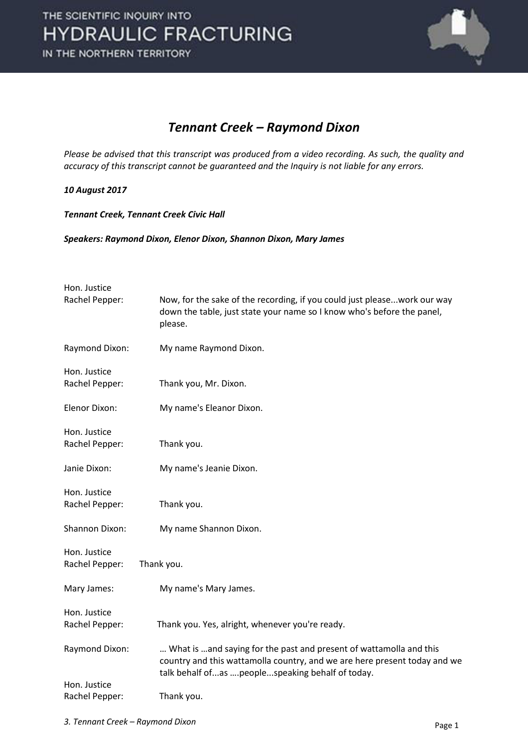

#### *Tennant Creek – Raymond Dixon*

*Please be advised that this transcript was produced from a video recording. As such, the quality and accuracy of this transcript cannot be guaranteed and the Inquiry is not liable for any errors.* 

#### *10 August 2017*

*Tennant Creek, Tennant Creek Civic Hall* 

*Speakers: Raymond Dixon, Elenor Dixon, Shannon Dixon, Mary James* 

| Hon. Justice<br>Rachel Pepper: | Now, for the sake of the recording, if you could just please work our way<br>down the table, just state your name so I know who's before the panel,<br>please.                                        |
|--------------------------------|-------------------------------------------------------------------------------------------------------------------------------------------------------------------------------------------------------|
| Raymond Dixon:                 | My name Raymond Dixon.                                                                                                                                                                                |
| Hon. Justice<br>Rachel Pepper: | Thank you, Mr. Dixon.                                                                                                                                                                                 |
| Elenor Dixon:                  | My name's Eleanor Dixon.                                                                                                                                                                              |
| Hon. Justice<br>Rachel Pepper: | Thank you.                                                                                                                                                                                            |
| Janie Dixon:                   | My name's Jeanie Dixon.                                                                                                                                                                               |
| Hon. Justice<br>Rachel Pepper: | Thank you.                                                                                                                                                                                            |
| Shannon Dixon:                 | My name Shannon Dixon.                                                                                                                                                                                |
| Hon. Justice<br>Rachel Pepper: | Thank you.                                                                                                                                                                                            |
| Mary James:                    | My name's Mary James.                                                                                                                                                                                 |
| Hon. Justice<br>Rachel Pepper: | Thank you. Yes, alright, whenever you're ready.                                                                                                                                                       |
| Raymond Dixon:                 | What is  and saying for the past and present of wattamolla and this<br>country and this wattamolla country, and we are here present today and we<br>talk behalf ofas  peoplespeaking behalf of today. |
| Hon. Justice<br>Rachel Pepper: | Thank you.                                                                                                                                                                                            |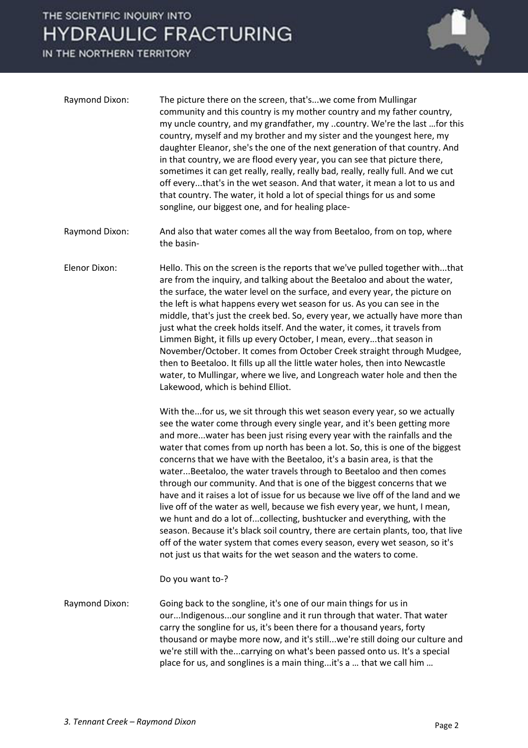

| Raymond Dixon: | The picture there on the screen, that'swe come from Mullingar<br>community and this country is my mother country and my father country,<br>my uncle country, and my grandfather, my country. We're the last for this<br>country, myself and my brother and my sister and the youngest here, my<br>daughter Eleanor, she's the one of the next generation of that country. And<br>in that country, we are flood every year, you can see that picture there,<br>sometimes it can get really, really, really bad, really, really full. And we cut<br>off everythat's in the wet season. And that water, it mean a lot to us and<br>that country. The water, it hold a lot of special things for us and some<br>songline, our biggest one, and for healing place-                                                                                                                                                                                                                                                                      |
|----------------|------------------------------------------------------------------------------------------------------------------------------------------------------------------------------------------------------------------------------------------------------------------------------------------------------------------------------------------------------------------------------------------------------------------------------------------------------------------------------------------------------------------------------------------------------------------------------------------------------------------------------------------------------------------------------------------------------------------------------------------------------------------------------------------------------------------------------------------------------------------------------------------------------------------------------------------------------------------------------------------------------------------------------------|
| Raymond Dixon: | And also that water comes all the way from Beetaloo, from on top, where<br>the basin-                                                                                                                                                                                                                                                                                                                                                                                                                                                                                                                                                                                                                                                                                                                                                                                                                                                                                                                                              |
| Elenor Dixon:  | Hello. This on the screen is the reports that we've pulled together withthat<br>are from the inquiry, and talking about the Beetaloo and about the water,<br>the surface, the water level on the surface, and every year, the picture on<br>the left is what happens every wet season for us. As you can see in the<br>middle, that's just the creek bed. So, every year, we actually have more than<br>just what the creek holds itself. And the water, it comes, it travels from<br>Limmen Bight, it fills up every October, I mean, everythat season in<br>November/October. It comes from October Creek straight through Mudgee,<br>then to Beetaloo. It fills up all the little water holes, then into Newcastle<br>water, to Mullingar, where we live, and Longreach water hole and then the<br>Lakewood, which is behind Elliot.                                                                                                                                                                                            |
|                | With thefor us, we sit through this wet season every year, so we actually<br>see the water come through every single year, and it's been getting more<br>and morewater has been just rising every year with the rainfalls and the<br>water that comes from up north has been a lot. So, this is one of the biggest<br>concerns that we have with the Beetaloo, it's a basin area, is that the<br>waterBeetaloo, the water travels through to Beetaloo and then comes<br>through our community. And that is one of the biggest concerns that we<br>have and it raises a lot of issue for us because we live off of the land and we<br>live off of the water as well, because we fish every year, we hunt, I mean,<br>we hunt and do a lot ofcollecting, bushtucker and everything, with the<br>season. Because it's black soil country, there are certain plants, too, that live<br>off of the water system that comes every season, every wet season, so it's<br>not just us that waits for the wet season and the waters to come. |
|                | Do you want to-?                                                                                                                                                                                                                                                                                                                                                                                                                                                                                                                                                                                                                                                                                                                                                                                                                                                                                                                                                                                                                   |
| Raymond Dixon: | Going back to the songline, it's one of our main things for us in<br>ourIndigenousour songline and it run through that water. That water<br>carry the songline for us, it's been there for a thousand years, forty<br>thousand or maybe more now, and it's stillwe're still doing our culture and<br>we're still with thecarrying on what's been passed onto us. It's a special<br>place for us, and songlines is a main thingit's a  that we call him                                                                                                                                                                                                                                                                                                                                                                                                                                                                                                                                                                             |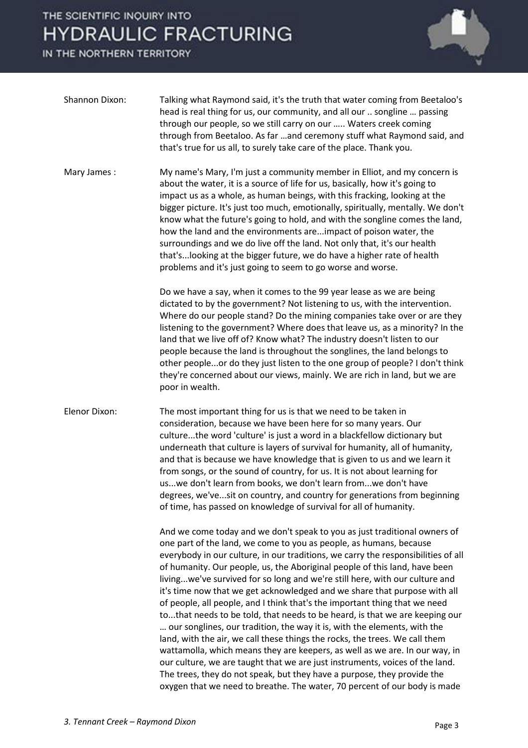

| Shannon Dixon:       | Talking what Raymond said, it's the truth that water coming from Beetaloo's<br>head is real thing for us, our community, and all our  songline  passing<br>through our people, so we still carry on our  Waters creek coming<br>through from Beetaloo. As far  and ceremony stuff what Raymond said, and<br>that's true for us all, to surely take care of the place. Thank you.                                                                                                                                                                                                                                                                                                                                                                                                                                                                                                                                                                                                                                                                                                                                              |
|----------------------|-------------------------------------------------------------------------------------------------------------------------------------------------------------------------------------------------------------------------------------------------------------------------------------------------------------------------------------------------------------------------------------------------------------------------------------------------------------------------------------------------------------------------------------------------------------------------------------------------------------------------------------------------------------------------------------------------------------------------------------------------------------------------------------------------------------------------------------------------------------------------------------------------------------------------------------------------------------------------------------------------------------------------------------------------------------------------------------------------------------------------------|
| Mary James:          | My name's Mary, I'm just a community member in Elliot, and my concern is<br>about the water, it is a source of life for us, basically, how it's going to<br>impact us as a whole, as human beings, with this fracking, looking at the<br>bigger picture. It's just too much, emotionally, spiritually, mentally. We don't<br>know what the future's going to hold, and with the songline comes the land,<br>how the land and the environments areimpact of poison water, the<br>surroundings and we do live off the land. Not only that, it's our health<br>that's looking at the bigger future, we do have a higher rate of health<br>problems and it's just going to seem to go worse and worse.                                                                                                                                                                                                                                                                                                                                                                                                                            |
|                      | Do we have a say, when it comes to the 99 year lease as we are being<br>dictated to by the government? Not listening to us, with the intervention.<br>Where do our people stand? Do the mining companies take over or are they<br>listening to the government? Where does that leave us, as a minority? In the<br>land that we live off of? Know what? The industry doesn't listen to our<br>people because the land is throughout the songlines, the land belongs to<br>other peopleor do they just listen to the one group of people? I don't think<br>they're concerned about our views, mainly. We are rich in land, but we are<br>poor in wealth.                                                                                                                                                                                                                                                                                                                                                                                                                                                                        |
| <b>Elenor Dixon:</b> | The most important thing for us is that we need to be taken in<br>consideration, because we have been here for so many years. Our<br>culturethe word 'culture' is just a word in a blackfellow dictionary but<br>underneath that culture is layers of survival for humanity, all of humanity,<br>and that is because we have knowledge that is given to us and we learn it<br>from songs, or the sound of country, for us. It is not about learning for<br>uswe don't learn from books, we don't learn fromwe don't have<br>degrees, we'vesit on country, and country for generations from beginning<br>of time, has passed on knowledge of survival for all of humanity.                                                                                                                                                                                                                                                                                                                                                                                                                                                     |
|                      | And we come today and we don't speak to you as just traditional owners of<br>one part of the land, we come to you as people, as humans, because<br>everybody in our culture, in our traditions, we carry the responsibilities of all<br>of humanity. Our people, us, the Aboriginal people of this land, have been<br>livingwe've survived for so long and we're still here, with our culture and<br>it's time now that we get acknowledged and we share that purpose with all<br>of people, all people, and I think that's the important thing that we need<br>tothat needs to be told, that needs to be heard, is that we are keeping our<br>our songlines, our tradition, the way it is, with the elements, with the<br>land, with the air, we call these things the rocks, the trees. We call them<br>wattamolla, which means they are keepers, as well as we are. In our way, in<br>our culture, we are taught that we are just instruments, voices of the land.<br>The trees, they do not speak, but they have a purpose, they provide the<br>oxygen that we need to breathe. The water, 70 percent of our body is made |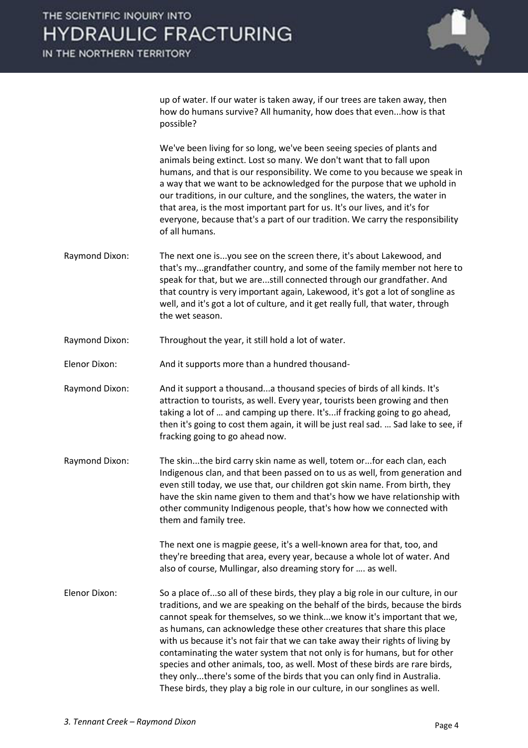IN THE NORTHERN TERRITORY



up of water. If our water is taken away, if our trees are taken away, then how do humans survive? All humanity, how does that even...how is that possible?

 We've been living for so long, we've been seeing species of plants and animals being extinct. Lost so many. We don't want that to fall upon humans, and that is our responsibility. We come to you because we speak in a way that we want to be acknowledged for the purpose that we uphold in our traditions, in our culture, and the songlines, the waters, the water in that area, is the most important part for us. It's our lives, and it's for everyone, because that's a part of our tradition. We carry the responsibility of all humans.

- Raymond Dixon: The next one is...you see on the screen there, it's about Lakewood, and that's my...grandfather country, and some of the family member not here to speak for that, but we are...still connected through our grandfather. And that country is very important again, Lakewood, it's got a lot of songline as well, and it's got a lot of culture, and it get really full, that water, through the wet season.
- Raymond Dixon: Throughout the year, it still hold a lot of water.
- Elenor Dixon: And it supports more than a hundred thousand-
- Raymond Dixon: And it support a thousand...a thousand species of birds of all kinds. It's attraction to tourists, as well. Every year, tourists been growing and then taking a lot of ... and camping up there. It's...if fracking going to go ahead, then it's going to cost them again, it will be just real sad. ... Sad lake to see, if fracking going to go ahead now.
- Raymond Dixon: The skin...the bird carry skin name as well, totem or...for each clan, each Indigenous clan, and that been passed on to us as well, from generation and even still today, we use that, our children got skin name. From birth, they have the skin name given to them and that's how we have relationship with other community Indigenous people, that's how how we connected with them and family tree.

 The next one is magpie geese, it's a well-known area for that, too, and they're breeding that area, every year, because a whole lot of water. And also of course, Mullingar, also dreaming story for .... as well.

Elenor Dixon: So a place of...so all of these birds, they play a big role in our culture, in our traditions, and we are speaking on the behalf of the birds, because the birds cannot speak for themselves, so we think...we know it's important that we, as humans, can acknowledge these other creatures that share this place with us because it's not fair that we can take away their rights of living by contaminating the water system that not only is for humans, but for other species and other animals, too, as well. Most of these birds are rare birds, they only...there's some of the birds that you can only find in Australia. These birds, they play a big role in our culture, in our songlines as well.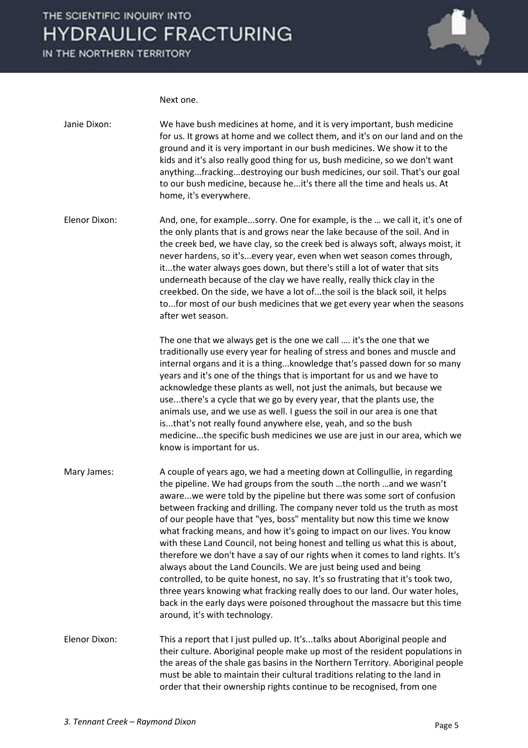IN THE NORTHERN TERRITORY



Next one.

| Janie Dixon:         | We have bush medicines at home, and it is very important, bush medicine<br>for us. It grows at home and we collect them, and it's on our land and on the<br>ground and it is very important in our bush medicines. We show it to the<br>kids and it's also really good thing for us, bush medicine, so we don't want<br>anythingfrackingdestroying our bush medicines, our soil. That's our goal<br>to our bush medicine, because he it's there all the time and heals us. At<br>home, it's everywhere.                                                                                                                                                                                                                                                                                                                                                                                                                                                                                |
|----------------------|----------------------------------------------------------------------------------------------------------------------------------------------------------------------------------------------------------------------------------------------------------------------------------------------------------------------------------------------------------------------------------------------------------------------------------------------------------------------------------------------------------------------------------------------------------------------------------------------------------------------------------------------------------------------------------------------------------------------------------------------------------------------------------------------------------------------------------------------------------------------------------------------------------------------------------------------------------------------------------------|
| <b>Elenor Dixon:</b> | And, one, for examplesorry. One for example, is the  we call it, it's one of<br>the only plants that is and grows near the lake because of the soil. And in<br>the creek bed, we have clay, so the creek bed is always soft, always moist, it<br>never hardens, so it'severy year, even when wet season comes through,<br>itthe water always goes down, but there's still a lot of water that sits<br>underneath because of the clay we have really, really thick clay in the<br>creekbed. On the side, we have a lot ofthe soil is the black soil, it helps<br>tofor most of our bush medicines that we get every year when the seasons<br>after wet season.                                                                                                                                                                                                                                                                                                                          |
|                      | The one that we always get is the one we call  it's the one that we<br>traditionally use every year for healing of stress and bones and muscle and<br>internal organs and it is a thingknowledge that's passed down for so many<br>years and it's one of the things that is important for us and we have to<br>acknowledge these plants as well, not just the animals, but because we<br>usethere's a cycle that we go by every year, that the plants use, the<br>animals use, and we use as well. I guess the soil in our area is one that<br>isthat's not really found anywhere else, yeah, and so the bush<br>medicinethe specific bush medicines we use are just in our area, which we<br>know is important for us.                                                                                                                                                                                                                                                                |
| Mary James:          | A couple of years ago, we had a meeting down at Collingullie, in regarding<br>the pipeline. We had groups from the south the north and we wasn't<br>awarewe were told by the pipeline but there was some sort of confusion<br>between fracking and drilling. The company never told us the truth as most<br>of our people have that "yes, boss" mentality but now this time we know<br>what fracking means, and how it's going to impact on our lives. You know<br>with these Land Council, not being honest and telling us what this is about,<br>therefore we don't have a say of our rights when it comes to land rights. It's<br>always about the Land Councils. We are just being used and being<br>controlled, to be quite honest, no say. It's so frustrating that it's took two,<br>three years knowing what fracking really does to our land. Our water holes,<br>back in the early days were poisoned throughout the massacre but this time<br>around, it's with technology. |
| Elenor Dixon:        | This a report that I just pulled up. It'stalks about Aboriginal people and<br>their culture. Aboriginal people make up most of the resident populations in<br>the areas of the shale gas basins in the Northern Territory. Aboriginal people<br>must be able to maintain their cultural traditions relating to the land in<br>order that their ownership rights continue to be recognised, from one                                                                                                                                                                                                                                                                                                                                                                                                                                                                                                                                                                                    |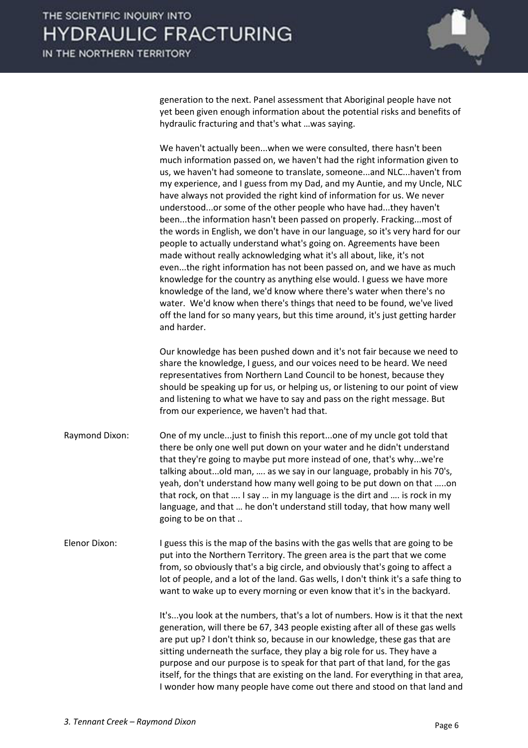

generation to the next. Panel assessment that Aboriginal people have not yet been given enough information about the potential risks and benefits of hydraulic fracturing and that's what …was saying.

 We haven't actually been...when we were consulted, there hasn't been much information passed on, we haven't had the right information given to us, we haven't had someone to translate, someone...and NLC...haven't from my experience, and I guess from my Dad, and my Auntie, and my Uncle, NLC have always not provided the right kind of information for us. We never understood...or some of the other people who have had...they haven't been...the information hasn't been passed on properly. Fracking...most of the words in English, we don't have in our language, so it's very hard for our people to actually understand what's going on. Agreements have been made without really acknowledging what it's all about, like, it's not even...the right information has not been passed on, and we have as much knowledge for the country as anything else would. I guess we have more knowledge of the land, we'd know where there's water when there's no water. We'd know when there's things that need to be found, we've lived off the land for so many years, but this time around, it's just getting harder and harder.

 Our knowledge has been pushed down and it's not fair because we need to share the knowledge, I guess, and our voices need to be heard. We need representatives from Northern Land Council to be honest, because they should be speaking up for us, or helping us, or listening to our point of view and listening to what we have to say and pass on the right message. But from our experience, we haven't had that.

- Raymond Dixon: One of my uncle...just to finish this report...one of my uncle got told that there be only one well put down on your water and he didn't understand that they're going to maybe put more instead of one, that's why...we're talking about...old man, .... as we say in our language, probably in his 70's, yeah, don't understand how many well going to be put down on that …..on that rock, on that …. I say … in my language is the dirt and …. is rock in my language, and that ... he don't understand still today, that how many well going to be on that ..
- Elenor Dixon: I guess this is the map of the basins with the gas wells that are going to be put into the Northern Territory. The green area is the part that we come from, so obviously that's a big circle, and obviously that's going to affect a lot of people, and a lot of the land. Gas wells, I don't think it's a safe thing to want to wake up to every morning or even know that it's in the backyard.

 It's...you look at the numbers, that's a lot of numbers. How is it that the next generation, will there be 67, 343 people existing after all of these gas wells are put up? I don't think so, because in our knowledge, these gas that are sitting underneath the surface, they play a big role for us. They have a purpose and our purpose is to speak for that part of that land, for the gas itself, for the things that are existing on the land. For everything in that area, I wonder how many people have come out there and stood on that land and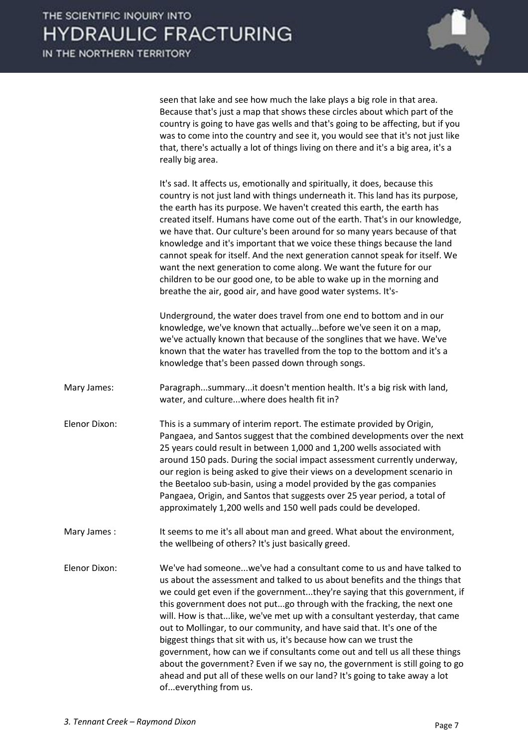

seen that lake and see how much the lake plays a big role in that area. Because that's just a map that shows these circles about which part of the country is going to have gas wells and that's going to be affecting, but if you was to come into the country and see it, you would see that it's not just like that, there's actually a lot of things living on there and it's a big area, it's a really big area.

 It's sad. It affects us, emotionally and spiritually, it does, because this country is not just land with things underneath it. This land has its purpose, the earth has its purpose. We haven't created this earth, the earth has created itself. Humans have come out of the earth. That's in our knowledge, we have that. Our culture's been around for so many years because of that knowledge and it's important that we voice these things because the land cannot speak for itself. And the next generation cannot speak for itself. We want the next generation to come along. We want the future for our children to be our good one, to be able to wake up in the morning and breathe the air, good air, and have good water systems. It's-

 Underground, the water does travel from one end to bottom and in our knowledge, we've known that actually...before we've seen it on a map, we've actually known that because of the songlines that we have. We've known that the water has travelled from the top to the bottom and it's a knowledge that's been passed down through songs.

Mary James: Paragraph...summary...it doesn't mention health. It's a big risk with land, water, and culture...where does health fit in?

Elenor Dixon: This is a summary of interim report. The estimate provided by Origin, Pangaea, and Santos suggest that the combined developments over the next 25 years could result in between 1,000 and 1,200 wells associated with around 150 pads. During the social impact assessment currently underway, our region is being asked to give their views on a development scenario in the Beetaloo sub-basin, using a model provided by the gas companies Pangaea, Origin, and Santos that suggests over 25 year period, a total of approximately 1,200 wells and 150 well pads could be developed.

Mary James : It seems to me it's all about man and greed. What about the environment, the wellbeing of others? It's just basically greed.

Elenor Dixon: We've had someone...we've had a consultant come to us and have talked to us about the assessment and talked to us about benefits and the things that we could get even if the government...they're saying that this government, if this government does not put...go through with the fracking, the next one will. How is that...like, we've met up with a consultant yesterday, that came out to Mollingar, to our community, and have said that. It's one of the biggest things that sit with us, it's because how can we trust the government, how can we if consultants come out and tell us all these things about the government? Even if we say no, the government is still going to go ahead and put all of these wells on our land? It's going to take away a lot of...everything from us.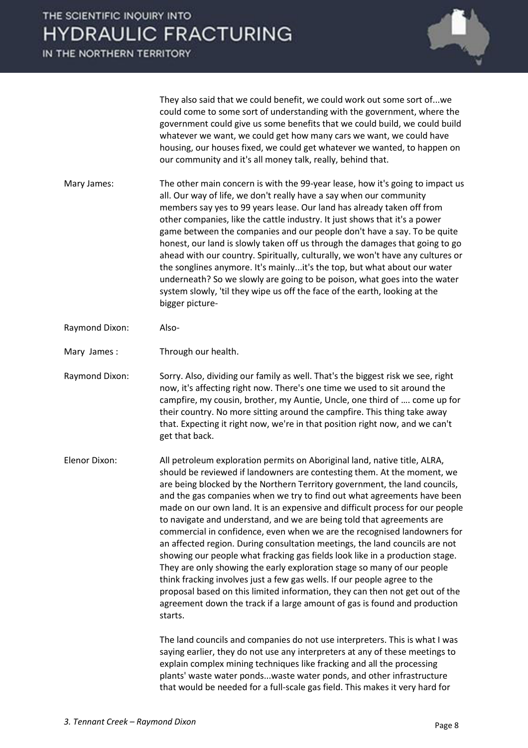IN THE NORTHERN TERRITORY



 They also said that we could benefit, we could work out some sort of...we could come to some sort of understanding with the government, where the government could give us some benefits that we could build, we could build whatever we want, we could get how many cars we want, we could have housing, our houses fixed, we could get whatever we wanted, to happen on our community and it's all money talk, really, behind that.

- Mary James: The other main concern is with the 99-year lease, how it's going to impact us all. Our way of life, we don't really have a say when our community members say yes to 99 years lease. Our land has already taken off from other companies, like the cattle industry. It just shows that it's a power game between the companies and our people don't have a say. To be quite honest, our land is slowly taken off us through the damages that going to go ahead with our country. Spiritually, culturally, we won't have any cultures or the songlines anymore. It's mainly...it's the top, but what about our water underneath? So we slowly are going to be poison, what goes into the water system slowly, 'til they wipe us off the face of the earth, looking at the bigger picture-
- Raymond Dixon: Also-
- Mary James: Through our health.
- Raymond Dixon: Sorry. Also, dividing our family as well. That's the biggest risk we see, right now, it's affecting right now. There's one time we used to sit around the campfire, my cousin, brother, my Auntie, Uncle, one third of .... come up for their country. No more sitting around the campfire. This thing take away that. Expecting it right now, we're in that position right now, and we can't get that back.

Elenor Dixon: All petroleum exploration permits on Aboriginal land, native title, ALRA, should be reviewed if landowners are contesting them. At the moment, we are being blocked by the Northern Territory government, the land councils, and the gas companies when we try to find out what agreements have been made on our own land. It is an expensive and difficult process for our people to navigate and understand, and we are being told that agreements are commercial in confidence, even when we are the recognised landowners for an affected region. During consultation meetings, the land councils are not showing our people what fracking gas fields look like in a production stage. They are only showing the early exploration stage so many of our people think fracking involves just a few gas wells. If our people agree to the proposal based on this limited information, they can then not get out of the agreement down the track if a large amount of gas is found and production starts.

> The land councils and companies do not use interpreters. This is what I was saying earlier, they do not use any interpreters at any of these meetings to explain complex mining techniques like fracking and all the processing plants' waste water ponds...waste water ponds, and other infrastructure that would be needed for a full-scale gas field. This makes it very hard for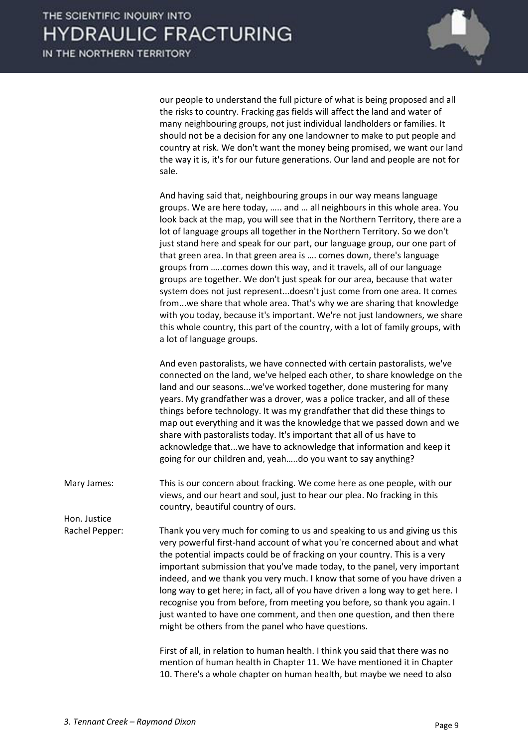

our people to understand the full picture of what is being proposed and all the risks to country. Fracking gas fields will affect the land and water of many neighbouring groups, not just individual landholders or families. It should not be a decision for any one landowner to make to put people and country at risk. We don't want the money being promised, we want our land the way it is, it's for our future generations. Our land and people are not for sale.

 And having said that, neighbouring groups in our way means language groups. We are here today, ..... and ... all neighbours in this whole area. You look back at the map, you will see that in the Northern Territory, there are a lot of language groups all together in the Northern Territory. So we don't just stand here and speak for our part, our language group, our one part of that green area. In that green area is .... comes down, there's language groups from .....comes down this way, and it travels, all of our language groups are together. We don't just speak for our area, because that water system does not just represent...doesn't just come from one area. It comes from...we share that whole area. That's why we are sharing that knowledge with you today, because it's important. We're not just landowners, we share this whole country, this part of the country, with a lot of family groups, with a lot of language groups.

 And even pastoralists, we have connected with certain pastoralists, we've connected on the land, we've helped each other, to share knowledge on the land and our seasons...we've worked together, done mustering for many years. My grandfather was a drover, was a police tracker, and all of these things before technology. It was my grandfather that did these things to map out everything and it was the knowledge that we passed down and we share with pastoralists today. It's important that all of us have to acknowledge that...we have to acknowledge that information and keep it going for our children and, yeah.....do you want to say anything?

Mary James: This is our concern about fracking. We come here as one people, with our views, and our heart and soul, just to hear our plea. No fracking in this country, beautiful country of ours.

Rachel Pepper: Thank you very much for coming to us and speaking to us and giving us this very powerful first-hand account of what you're concerned about and what the potential impacts could be of fracking on your country. This is a very important submission that you've made today, to the panel, very important indeed, and we thank you very much. I know that some of you have driven a long way to get here; in fact, all of you have driven a long way to get here. I recognise you from before, from meeting you before, so thank you again. I just wanted to have one comment, and then one question, and then there might be others from the panel who have questions.

> First of all, in relation to human health. I think you said that there was no mention of human health in Chapter 11. We have mentioned it in Chapter 10. There's a whole chapter on human health, but maybe we need to also

Hon. Justice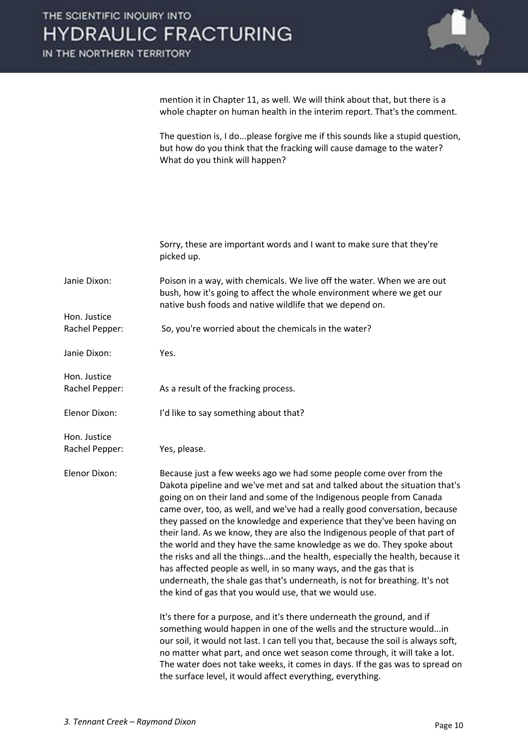mention it in Chapter 11, as well. We will think about that, but there is a whole chapter on human health in the interim report. That's the comment.

 The question is, I do...please forgive me if this sounds like a stupid question, but how do you think that the fracking will cause damage to the water? What do you think will happen?

|                | Sorry, these are important words and I want to make sure that they're<br>picked up.                                                                                                                                                                                                                                                                                                                                                                                                                                                                                                                                                                                                                                                                                                                                                       |
|----------------|-------------------------------------------------------------------------------------------------------------------------------------------------------------------------------------------------------------------------------------------------------------------------------------------------------------------------------------------------------------------------------------------------------------------------------------------------------------------------------------------------------------------------------------------------------------------------------------------------------------------------------------------------------------------------------------------------------------------------------------------------------------------------------------------------------------------------------------------|
| Janie Dixon:   | Poison in a way, with chemicals. We live off the water. When we are out<br>bush, how it's going to affect the whole environment where we get our<br>native bush foods and native wildlife that we depend on.                                                                                                                                                                                                                                                                                                                                                                                                                                                                                                                                                                                                                              |
| Hon. Justice   |                                                                                                                                                                                                                                                                                                                                                                                                                                                                                                                                                                                                                                                                                                                                                                                                                                           |
| Rachel Pepper: | So, you're worried about the chemicals in the water?                                                                                                                                                                                                                                                                                                                                                                                                                                                                                                                                                                                                                                                                                                                                                                                      |
| Janie Dixon:   | Yes.                                                                                                                                                                                                                                                                                                                                                                                                                                                                                                                                                                                                                                                                                                                                                                                                                                      |
| Hon. Justice   |                                                                                                                                                                                                                                                                                                                                                                                                                                                                                                                                                                                                                                                                                                                                                                                                                                           |
| Rachel Pepper: | As a result of the fracking process.                                                                                                                                                                                                                                                                                                                                                                                                                                                                                                                                                                                                                                                                                                                                                                                                      |
| Elenor Dixon:  | I'd like to say something about that?                                                                                                                                                                                                                                                                                                                                                                                                                                                                                                                                                                                                                                                                                                                                                                                                     |
| Hon. Justice   |                                                                                                                                                                                                                                                                                                                                                                                                                                                                                                                                                                                                                                                                                                                                                                                                                                           |
| Rachel Pepper: | Yes, please.                                                                                                                                                                                                                                                                                                                                                                                                                                                                                                                                                                                                                                                                                                                                                                                                                              |
| Elenor Dixon:  | Because just a few weeks ago we had some people come over from the<br>Dakota pipeline and we've met and sat and talked about the situation that's<br>going on on their land and some of the Indigenous people from Canada<br>came over, too, as well, and we've had a really good conversation, because<br>they passed on the knowledge and experience that they've been having on<br>their land. As we know, they are also the Indigenous people of that part of<br>the world and they have the same knowledge as we do. They spoke about<br>the risks and all the thingsand the health, especially the health, because it<br>has affected people as well, in so many ways, and the gas that is<br>underneath, the shale gas that's underneath, is not for breathing. It's not<br>the kind of gas that you would use, that we would use. |
|                | It's there for a purpose, and it's there underneath the ground, and if<br>something would happen in one of the wells and the structure wouldin<br>our soil, it would not last. I can tell you that, because the soil is always soft,<br>no matter what part, and once wet season come through, it will take a lot.<br>The water does not take weeks, it comes in days. If the gas was to spread on                                                                                                                                                                                                                                                                                                                                                                                                                                        |

the surface level, it would affect everything, everything.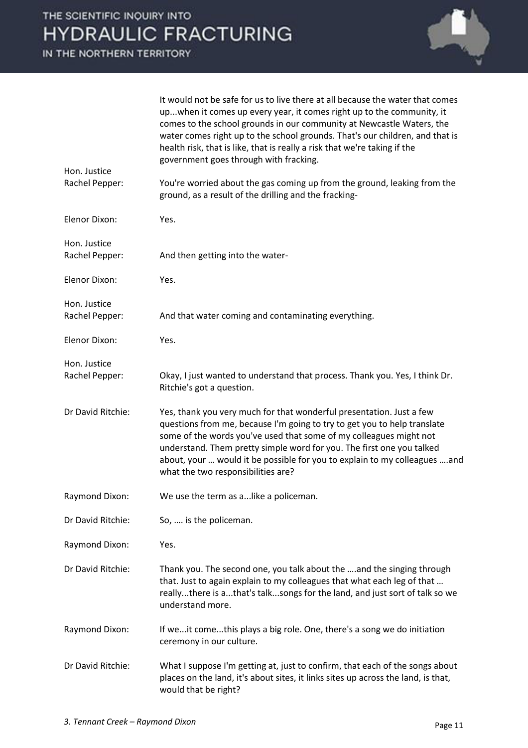

|                                | It would not be safe for us to live there at all because the water that comes<br>upwhen it comes up every year, it comes right up to the community, it<br>comes to the school grounds in our community at Newcastle Waters, the<br>water comes right up to the school grounds. That's our children, and that is<br>health risk, that is like, that is really a risk that we're taking if the<br>government goes through with fracking. |
|--------------------------------|----------------------------------------------------------------------------------------------------------------------------------------------------------------------------------------------------------------------------------------------------------------------------------------------------------------------------------------------------------------------------------------------------------------------------------------|
| Hon. Justice<br>Rachel Pepper: | You're worried about the gas coming up from the ground, leaking from the<br>ground, as a result of the drilling and the fracking-                                                                                                                                                                                                                                                                                                      |
| Elenor Dixon:                  | Yes.                                                                                                                                                                                                                                                                                                                                                                                                                                   |
| Hon. Justice<br>Rachel Pepper: | And then getting into the water-                                                                                                                                                                                                                                                                                                                                                                                                       |
| Elenor Dixon:                  | Yes.                                                                                                                                                                                                                                                                                                                                                                                                                                   |
| Hon. Justice<br>Rachel Pepper: | And that water coming and contaminating everything.                                                                                                                                                                                                                                                                                                                                                                                    |
| <b>Elenor Dixon:</b>           | Yes.                                                                                                                                                                                                                                                                                                                                                                                                                                   |
| Hon. Justice<br>Rachel Pepper: | Okay, I just wanted to understand that process. Thank you. Yes, I think Dr.<br>Ritchie's got a question.                                                                                                                                                                                                                                                                                                                               |
| Dr David Ritchie:              | Yes, thank you very much for that wonderful presentation. Just a few<br>questions from me, because I'm going to try to get you to help translate<br>some of the words you've used that some of my colleagues might not<br>understand. Them pretty simple word for you. The first one you talked<br>about, your  would it be possible for you to explain to my colleagues and<br>what the two responsibilities are?                     |
| Raymond Dixon:                 | We use the term as a like a policeman.                                                                                                                                                                                                                                                                                                                                                                                                 |
| Dr David Ritchie:              | So,  is the policeman.                                                                                                                                                                                                                                                                                                                                                                                                                 |
| Raymond Dixon:                 | Yes.                                                                                                                                                                                                                                                                                                                                                                                                                                   |
| Dr David Ritchie:              | Thank you. The second one, you talk about the  and the singing through<br>that. Just to again explain to my colleagues that what each leg of that<br>reallythere is athat's talksongs for the land, and just sort of talk so we<br>understand more.                                                                                                                                                                                    |
| Raymond Dixon:                 | If weit comethis plays a big role. One, there's a song we do initiation<br>ceremony in our culture.                                                                                                                                                                                                                                                                                                                                    |
| Dr David Ritchie:              | What I suppose I'm getting at, just to confirm, that each of the songs about<br>places on the land, it's about sites, it links sites up across the land, is that,<br>would that be right?                                                                                                                                                                                                                                              |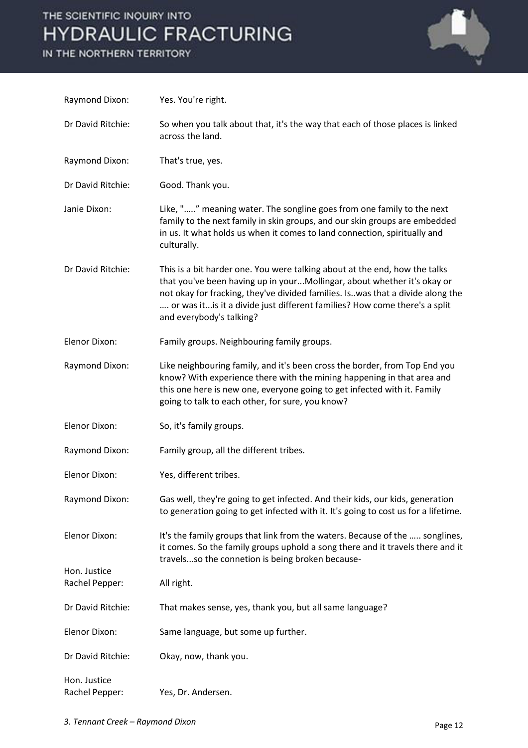

| Raymond Dixon:                 | Yes. You're right.                                                                                                                                                                                                                                                                                                                                  |
|--------------------------------|-----------------------------------------------------------------------------------------------------------------------------------------------------------------------------------------------------------------------------------------------------------------------------------------------------------------------------------------------------|
| Dr David Ritchie:              | So when you talk about that, it's the way that each of those places is linked<br>across the land.                                                                                                                                                                                                                                                   |
| Raymond Dixon:                 | That's true, yes.                                                                                                                                                                                                                                                                                                                                   |
| Dr David Ritchie:              | Good. Thank you.                                                                                                                                                                                                                                                                                                                                    |
| Janie Dixon:                   | Like, "" meaning water. The songline goes from one family to the next<br>family to the next family in skin groups, and our skin groups are embedded<br>in us. It what holds us when it comes to land connection, spiritually and<br>culturally.                                                                                                     |
| Dr David Ritchie:              | This is a bit harder one. You were talking about at the end, how the talks<br>that you've been having up in yourMollingar, about whether it's okay or<br>not okay for fracking, they've divided families. Is. was that a divide along the<br>or was it is it a divide just different families? How come there's a split<br>and everybody's talking? |
| Elenor Dixon:                  | Family groups. Neighbouring family groups.                                                                                                                                                                                                                                                                                                          |
| Raymond Dixon:                 | Like neighbouring family, and it's been cross the border, from Top End you<br>know? With experience there with the mining happening in that area and<br>this one here is new one, everyone going to get infected with it. Family<br>going to talk to each other, for sure, you know?                                                                |
| Elenor Dixon:                  | So, it's family groups.                                                                                                                                                                                                                                                                                                                             |
| Raymond Dixon:                 | Family group, all the different tribes.                                                                                                                                                                                                                                                                                                             |
| Elenor Dixon:                  | Yes, different tribes.                                                                                                                                                                                                                                                                                                                              |
| Raymond Dixon:                 | Gas well, they're going to get infected. And their kids, our kids, generation<br>to generation going to get infected with it. It's going to cost us for a lifetime.                                                                                                                                                                                 |
| Elenor Dixon:                  | It's the family groups that link from the waters. Because of the  songlines,<br>it comes. So the family groups uphold a song there and it travels there and it<br>travelsso the connetion is being broken because-                                                                                                                                  |
| Hon. Justice<br>Rachel Pepper: | All right.                                                                                                                                                                                                                                                                                                                                          |
| Dr David Ritchie:              | That makes sense, yes, thank you, but all same language?                                                                                                                                                                                                                                                                                            |
| <b>Elenor Dixon:</b>           | Same language, but some up further.                                                                                                                                                                                                                                                                                                                 |
| Dr David Ritchie:              | Okay, now, thank you.                                                                                                                                                                                                                                                                                                                               |
| Hon. Justice<br>Rachel Pepper: | Yes, Dr. Andersen.                                                                                                                                                                                                                                                                                                                                  |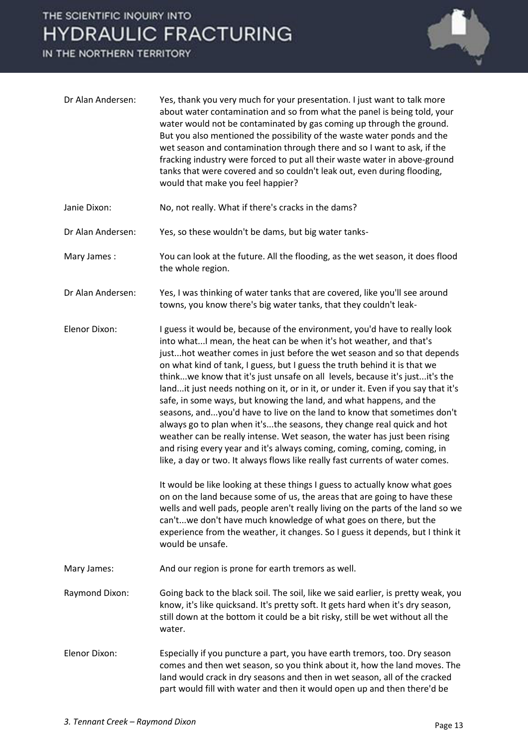

| Dr Alan Andersen: | Yes, thank you very much for your presentation. I just want to talk more<br>about water contamination and so from what the panel is being told, your<br>water would not be contaminated by gas coming up through the ground.<br>But you also mentioned the possibility of the waste water ponds and the<br>wet season and contamination through there and so I want to ask, if the<br>fracking industry were forced to put all their waste water in above-ground<br>tanks that were covered and so couldn't leak out, even during flooding,<br>would that make you feel happier?                                                                                                                                                                                                                                                                                                                                                                                                                                                                                                                                                                                                                                                                                                                                                                                             |
|-------------------|------------------------------------------------------------------------------------------------------------------------------------------------------------------------------------------------------------------------------------------------------------------------------------------------------------------------------------------------------------------------------------------------------------------------------------------------------------------------------------------------------------------------------------------------------------------------------------------------------------------------------------------------------------------------------------------------------------------------------------------------------------------------------------------------------------------------------------------------------------------------------------------------------------------------------------------------------------------------------------------------------------------------------------------------------------------------------------------------------------------------------------------------------------------------------------------------------------------------------------------------------------------------------------------------------------------------------------------------------------------------------|
| Janie Dixon:      | No, not really. What if there's cracks in the dams?                                                                                                                                                                                                                                                                                                                                                                                                                                                                                                                                                                                                                                                                                                                                                                                                                                                                                                                                                                                                                                                                                                                                                                                                                                                                                                                          |
| Dr Alan Andersen: | Yes, so these wouldn't be dams, but big water tanks-                                                                                                                                                                                                                                                                                                                                                                                                                                                                                                                                                                                                                                                                                                                                                                                                                                                                                                                                                                                                                                                                                                                                                                                                                                                                                                                         |
| Mary James:       | You can look at the future. All the flooding, as the wet season, it does flood<br>the whole region.                                                                                                                                                                                                                                                                                                                                                                                                                                                                                                                                                                                                                                                                                                                                                                                                                                                                                                                                                                                                                                                                                                                                                                                                                                                                          |
| Dr Alan Andersen: | Yes, I was thinking of water tanks that are covered, like you'll see around<br>towns, you know there's big water tanks, that they couldn't leak-                                                                                                                                                                                                                                                                                                                                                                                                                                                                                                                                                                                                                                                                                                                                                                                                                                                                                                                                                                                                                                                                                                                                                                                                                             |
| Elenor Dixon:     | I guess it would be, because of the environment, you'd have to really look<br>into what I mean, the heat can be when it's hot weather, and that's<br>justhot weather comes in just before the wet season and so that depends<br>on what kind of tank, I guess, but I guess the truth behind it is that we<br>thinkwe know that it's just unsafe on all levels, because it's justit's the<br>landit just needs nothing on it, or in it, or under it. Even if you say that it's<br>safe, in some ways, but knowing the land, and what happens, and the<br>seasons, andyou'd have to live on the land to know that sometimes don't<br>always go to plan when it'sthe seasons, they change real quick and hot<br>weather can be really intense. Wet season, the water has just been rising<br>and rising every year and it's always coming, coming, coming, coming, in<br>like, a day or two. It always flows like really fast currents of water comes.<br>It would be like looking at these things I guess to actually know what goes<br>on on the land because some of us, the areas that are going to have these<br>wells and well pads, people aren't really living on the parts of the land so we<br>can'twe don't have much knowledge of what goes on there, but the<br>experience from the weather, it changes. So I guess it depends, but I think it<br>would be unsafe. |
| Mary James:       | And our region is prone for earth tremors as well.                                                                                                                                                                                                                                                                                                                                                                                                                                                                                                                                                                                                                                                                                                                                                                                                                                                                                                                                                                                                                                                                                                                                                                                                                                                                                                                           |
| Raymond Dixon:    | Going back to the black soil. The soil, like we said earlier, is pretty weak, you<br>know, it's like quicksand. It's pretty soft. It gets hard when it's dry season,<br>still down at the bottom it could be a bit risky, still be wet without all the<br>water.                                                                                                                                                                                                                                                                                                                                                                                                                                                                                                                                                                                                                                                                                                                                                                                                                                                                                                                                                                                                                                                                                                             |
| Elenor Dixon:     | Especially if you puncture a part, you have earth tremors, too. Dry season<br>comes and then wet season, so you think about it, how the land moves. The<br>land would crack in dry seasons and then in wet season, all of the cracked<br>part would fill with water and then it would open up and then there'd be                                                                                                                                                                                                                                                                                                                                                                                                                                                                                                                                                                                                                                                                                                                                                                                                                                                                                                                                                                                                                                                            |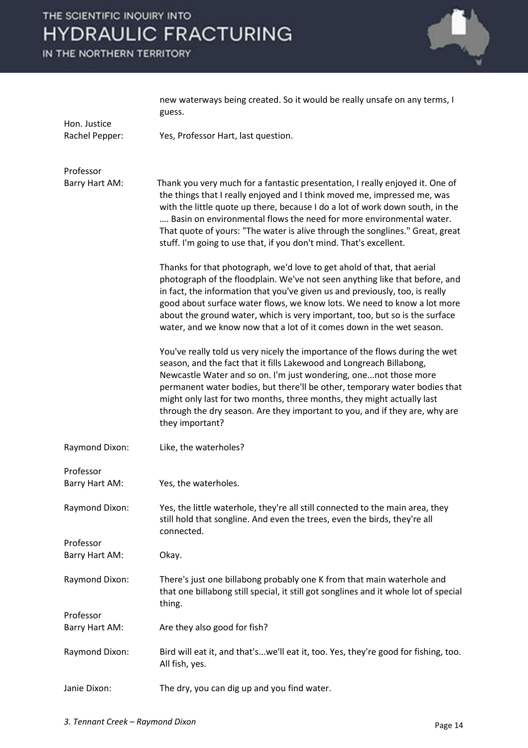

|                                | new waterways being created. So it would be really unsafe on any terms, I<br>guess.                                                                                                                                                                                                                                                                                                                                                                                                |
|--------------------------------|------------------------------------------------------------------------------------------------------------------------------------------------------------------------------------------------------------------------------------------------------------------------------------------------------------------------------------------------------------------------------------------------------------------------------------------------------------------------------------|
| Hon. Justice<br>Rachel Pepper: | Yes, Professor Hart, last question.                                                                                                                                                                                                                                                                                                                                                                                                                                                |
| Professor                      |                                                                                                                                                                                                                                                                                                                                                                                                                                                                                    |
| Barry Hart AM:                 | Thank you very much for a fantastic presentation, I really enjoyed it. One of<br>the things that I really enjoyed and I think moved me, impressed me, was<br>with the little quote up there, because I do a lot of work down south, in the<br>Basin on environmental flows the need for more environmental water.<br>That quote of yours: "The water is alive through the songlines." Great, great<br>stuff. I'm going to use that, if you don't mind. That's excellent.           |
|                                | Thanks for that photograph, we'd love to get ahold of that, that aerial<br>photograph of the floodplain. We've not seen anything like that before, and<br>in fact, the information that you've given us and previously, too, is really<br>good about surface water flows, we know lots. We need to know a lot more<br>about the ground water, which is very important, too, but so is the surface<br>water, and we know now that a lot of it comes down in the wet season.         |
|                                | You've really told us very nicely the importance of the flows during the wet<br>season, and the fact that it fills Lakewood and Longreach Billabong,<br>Newcastle Water and so on. I'm just wondering, onenot those more<br>permanent water bodies, but there'll be other, temporary water bodies that<br>might only last for two months, three months, they might actually last<br>through the dry season. Are they important to you, and if they are, why are<br>they important? |
| Raymond Dixon:                 | Like, the waterholes?                                                                                                                                                                                                                                                                                                                                                                                                                                                              |
| Professor<br>Barry Hart AM:    | Yes, the waterholes.                                                                                                                                                                                                                                                                                                                                                                                                                                                               |
| Raymond Dixon:                 | Yes, the little waterhole, they're all still connected to the main area, they<br>still hold that songline. And even the trees, even the birds, they're all<br>connected.                                                                                                                                                                                                                                                                                                           |
| Professor                      |                                                                                                                                                                                                                                                                                                                                                                                                                                                                                    |
| Barry Hart AM:                 | Okay.                                                                                                                                                                                                                                                                                                                                                                                                                                                                              |
| Raymond Dixon:                 | There's just one billabong probably one K from that main waterhole and<br>that one billabong still special, it still got songlines and it whole lot of special<br>thing.                                                                                                                                                                                                                                                                                                           |
| Professor                      |                                                                                                                                                                                                                                                                                                                                                                                                                                                                                    |
| Barry Hart AM:                 | Are they also good for fish?                                                                                                                                                                                                                                                                                                                                                                                                                                                       |
| Raymond Dixon:                 | Bird will eat it, and that'swe'll eat it, too. Yes, they're good for fishing, too.<br>All fish, yes.                                                                                                                                                                                                                                                                                                                                                                               |
| Janie Dixon:                   | The dry, you can dig up and you find water.                                                                                                                                                                                                                                                                                                                                                                                                                                        |